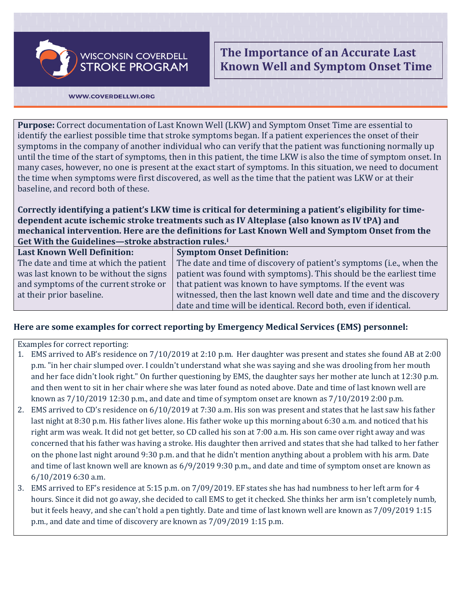**WISCONSIN COVERDELL STROKE PROGRAM** 

**The Importance of an Accurate Last Known Well and Symptom Onset Time**

## WWW.COVERDELLWI.ORG

**Purpose:** Correct documentation of Last Known Well (LKW) and Symptom Onset Time are essential to identify the earliest possible time that stroke symptoms began. If a patient experiences the onset of their symptoms in the company of another individual who can verify that the patient was functioning normally up until the time of the start of symptoms, then in this patient, the time LKW is also the time of symptom onset. In many cases, however, no one is present at the exact start of symptoms. In this situation, we need to document the time when symptoms were first discovered, as well as the time that the patient was LKW or at their baseline, and record both of these.

**Correctly identifying a patient's LKW time is critical for determining a patient's eligibility for timedependent acute ischemic stroke treatments such as IV Alteplase (also known as IV tPA) and mechanical intervention. Here are the definitions for Last Known Well and Symptom Onset from the Get With the Guidelines—stroke abstraction rules.[i](#page-1-0)**

| <b>Last Known Well Definition:</b>     | <b>Symptom Onset Definition:</b>                                     |
|----------------------------------------|----------------------------------------------------------------------|
| The date and time at which the patient | The date and time of discovery of patient's symptoms (i.e., when the |
| was last known to be without the signs | patient was found with symptoms). This should be the earliest time   |
| and symptoms of the current stroke or  | that patient was known to have symptoms. If the event was            |
| at their prior baseline.               | witnessed, then the last known well date and time and the discovery  |
|                                        | date and time will be identical. Record both, even if identical.     |
|                                        |                                                                      |

## **Here are some examples for correct reporting by Emergency Medical Services (EMS) personnel:**

Examples for correct reporting:

- 1. EMS arrived to AB's residence on 7/10/2019 at 2:10 p.m. Her daughter was present and states she found AB at 2:00 p.m. "in her chair slumped over. I couldn't understand what she was saying and she was drooling from her mouth and her face didn't look right." On further questioning by EMS, the daughter says her mother ate lunch at 12:30 p.m. and then went to sit in her chair where she was later found as noted above. Date and time of last known well are known as 7/10/2019 12:30 p.m., and date and time of symptom onset are known as 7/10/2019 2:00 p.m.
- 2. EMS arrived to CD's residence on 6/10/2019 at 7:30 a.m. His son was present and states that he last saw his father last night at 8:30 p.m. His father lives alone. His father woke up this morning about 6:30 a.m. and noticed that his right arm was weak. It did not get better, so CD called his son at 7:00 a.m. His son came over right away and was concerned that his father was having a stroke. His daughter then arrived and states that she had talked to her father on the phone last night around 9:30 p.m. and that he didn't mention anything about a problem with his arm. Date and time of last known well are known as 6/9/2019 9:30 p.m., and date and time of symptom onset are known as 6/10/2019 6:30 a.m.
- 3. EMS arrived to EF's residence at 5:15 p.m. on 7/09/2019. EF states she has had numbness to her left arm for 4 hours. Since it did not go away, she decided to call EMS to get it checked. She thinks her arm isn't completely numb, but it feels heavy, and she can't hold a pen tightly. Date and time of last known well are known as 7/09/2019 1:15 p.m., and date and time of discovery are known as 7/09/2019 1:15 p.m.